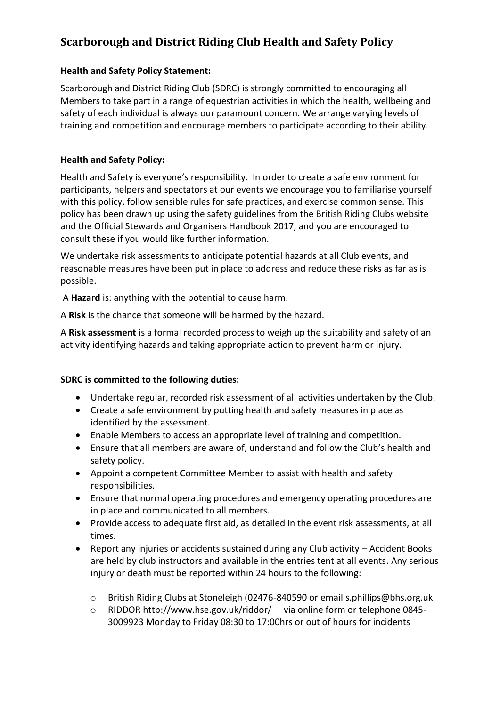# **Scarborough and District Riding Club Health and Safety Policy**

### **Health and Safety Policy Statement:**

Scarborough and District Riding Club (SDRC) is strongly committed to encouraging all Members to take part in a range of equestrian activities in which the health, wellbeing and safety of each individual is always our paramount concern. We arrange varying levels of training and competition and encourage members to participate according to their ability.

### **Health and Safety Policy:**

Health and Safety is everyone's responsibility. In order to create a safe environment for participants, helpers and spectators at our events we encourage you to familiarise yourself with this policy, follow sensible rules for safe practices, and exercise common sense. This policy has been drawn up using the safety guidelines from the British Riding Clubs website and the Official Stewards and Organisers Handbook 2017, and you are encouraged to consult these if you would like further information.

We undertake risk assessments to anticipate potential hazards at all Club events, and reasonable measures have been put in place to address and reduce these risks as far as is possible.

A **Hazard** is: anything with the potential to cause harm.

A **Risk** is the chance that someone will be harmed by the hazard.

A **Risk assessment** is a formal recorded process to weigh up the suitability and safety of an activity identifying hazards and taking appropriate action to prevent harm or injury.

### **SDRC is committed to the following duties:**

- Undertake regular, recorded risk assessment of all activities undertaken by the Club.
- Create a safe environment by putting health and safety measures in place as identified by the assessment.
- Enable Members to access an appropriate level of training and competition.
- Ensure that all members are aware of, understand and follow the Club's health and safety policy.
- Appoint a competent Committee Member to assist with health and safety responsibilities.
- Ensure that normal operating procedures and emergency operating procedures are in place and communicated to all members.
- Provide access to adequate first aid, as detailed in the event risk assessments, at all times.
- Report any injuries or accidents sustained during any Club activity Accident Books are held by club instructors and available in the entries tent at all events. Any serious injury or death must be reported within 24 hours to the following:
	- o British Riding Clubs at Stoneleigh (02476-840590 or email s.phillips@bhs.org.uk
	- o RIDDOR http://www.hse.gov.uk/riddor/ via online form or telephone 0845- 3009923 Monday to Friday 08:30 to 17:00hrs or out of hours for incidents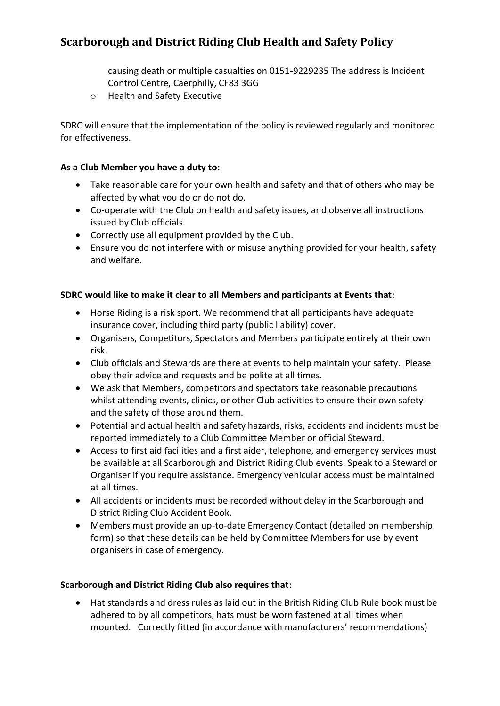## **Scarborough and District Riding Club Health and Safety Policy**

causing death or multiple casualties on 0151-9229235 The address is Incident Control Centre, Caerphilly, CF83 3GG

o Health and Safety Executive

SDRC will ensure that the implementation of the policy is reviewed regularly and monitored for effectiveness.

#### **As a Club Member you have a duty to:**

- Take reasonable care for your own health and safety and that of others who may be affected by what you do or do not do.
- Co-operate with the Club on health and safety issues, and observe all instructions issued by Club officials.
- Correctly use all equipment provided by the Club.
- Ensure you do not interfere with or misuse anything provided for your health, safety and welfare.

#### **SDRC would like to make it clear to all Members and participants at Events that:**

- Horse Riding is a risk sport. We recommend that all participants have adequate insurance cover, including third party (public liability) cover.
- Organisers, Competitors, Spectators and Members participate entirely at their own risk.
- Club officials and Stewards are there at events to help maintain your safety. Please obey their advice and requests and be polite at all times.
- We ask that Members, competitors and spectators take reasonable precautions whilst attending events, clinics, or other Club activities to ensure their own safety and the safety of those around them.
- Potential and actual health and safety hazards, risks, accidents and incidents must be reported immediately to a Club Committee Member or official Steward.
- Access to first aid facilities and a first aider, telephone, and emergency services must be available at all Scarborough and District Riding Club events. Speak to a Steward or Organiser if you require assistance. Emergency vehicular access must be maintained at all times.
- All accidents or incidents must be recorded without delay in the Scarborough and District Riding Club Accident Book.
- Members must provide an up-to-date Emergency Contact (detailed on membership form) so that these details can be held by Committee Members for use by event organisers in case of emergency.

#### **Scarborough and District Riding Club also requires that**:

• Hat standards and dress rules as laid out in the British Riding Club Rule book must be adhered to by all competitors, hats must be worn fastened at all times when mounted. Correctly fitted (in accordance with manufacturers' recommendations)